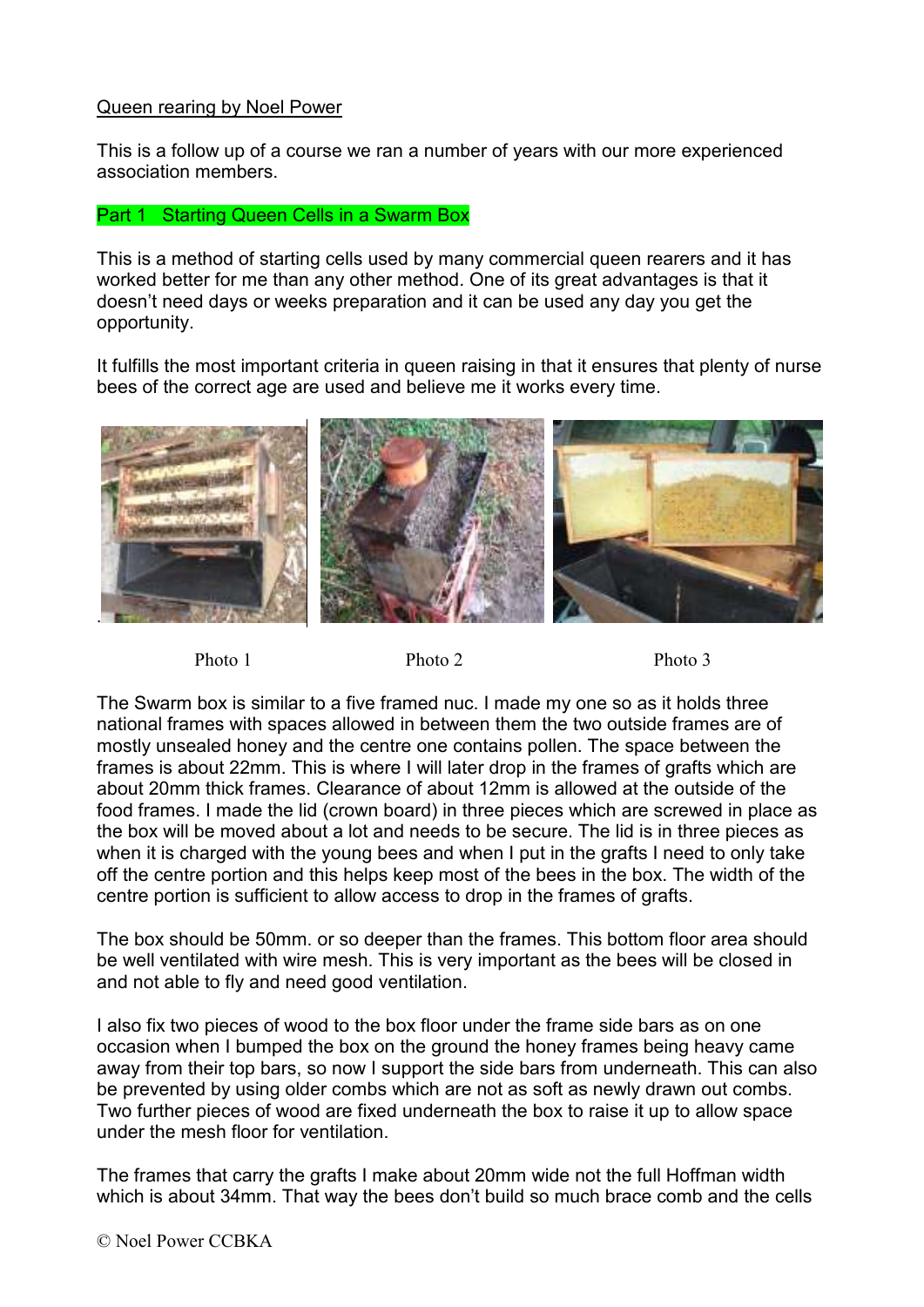## Queen rearing by Noel Power

This is a follow up of a course we ran a number of years with our more experienced association members.

## Part 1 Starting Queen Cells in a Swarm Box

This is a method of starting cells used by many commercial queen rearers and it has worked better for me than any other method. One of its great advantages is that it doesn't need days or weeks preparation and it can be used any day you get the opportunity.

It fulfills the most important criteria in queen raising in that it ensures that plenty of nurse bees of the correct age are used and believe me it works every time.



Photo 1 Photo 2 Photo 3

The Swarm box is similar to a five framed nuc. I made my one so as it holds three national frames with spaces allowed in between them the two outside frames are of mostly unsealed honey and the centre one contains pollen. The space between the frames is about 22mm. This is where I will later drop in the frames of grafts which are about 20mm thick frames. Clearance of about 12mm is allowed at the outside of the food frames. I made the lid (crown board) in three pieces which are screwed in place as the box will be moved about a lot and needs to be secure. The lid is in three pieces as when it is charged with the young bees and when I put in the grafts I need to only take off the centre portion and this helps keep most of the bees in the box. The width of the centre portion is sufficient to allow access to drop in the frames of grafts.

The box should be 50mm. or so deeper than the frames. This bottom floor area should be well ventilated with wire mesh. This is very important as the bees will be closed in and not able to fly and need good ventilation.

I also fix two pieces of wood to the box floor under the frame side bars as on one occasion when I bumped the box on the ground the honey frames being heavy came away from their top bars, so now I support the side bars from underneath. This can also be prevented by using older combs which are not as soft as newly drawn out combs. Two further pieces of wood are fixed underneath the box to raise it up to allow space under the mesh floor for ventilation.

The frames that carry the grafts I make about 20mm wide not the full Hoffman width which is about 34mm. That way the bees don't build so much brace comb and the cells